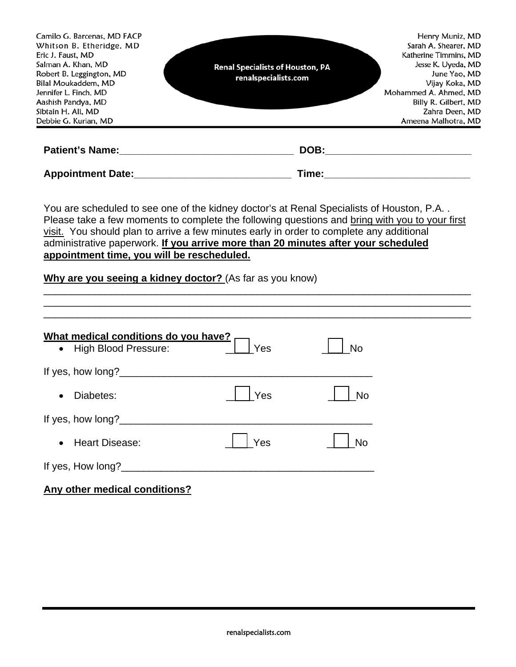| Camilo G. Barcenas, MD FACP                  |                                                                                                                                                                                                                                                                                                                          | Henry Muniz, MD       |  |  |
|----------------------------------------------|--------------------------------------------------------------------------------------------------------------------------------------------------------------------------------------------------------------------------------------------------------------------------------------------------------------------------|-----------------------|--|--|
| Whitson B. Etheridge, MD                     |                                                                                                                                                                                                                                                                                                                          | Sarah A. Shearer, MD  |  |  |
| Eric J. Faust, MD                            |                                                                                                                                                                                                                                                                                                                          | Katherine Timmins, MD |  |  |
| Salman A. Khan, MD                           | <b>Renal Specialists of Houston, PA</b>                                                                                                                                                                                                                                                                                  | Jesse K. Uyeda, MD    |  |  |
| Robert B. Leggington, MD                     | renalspecialists.com                                                                                                                                                                                                                                                                                                     | June Yao, MD          |  |  |
| Bilal Moukaddem, MD                          |                                                                                                                                                                                                                                                                                                                          | Vijay Koka, MD        |  |  |
| Jennifer L. Finch, MD                        |                                                                                                                                                                                                                                                                                                                          | Mohammed A. Ahmed, MD |  |  |
| Aashish Pandya, MD                           |                                                                                                                                                                                                                                                                                                                          | Billy R. Gilbert, MD  |  |  |
| Sibtain H. Ali, MD                           |                                                                                                                                                                                                                                                                                                                          | Zahra Deen, MD        |  |  |
| Debbie G. Kurian, MD                         |                                                                                                                                                                                                                                                                                                                          | Ameena Malhotra, MD   |  |  |
|                                              | DOB:                                                                                                                                                                                                                                                                                                                     |                       |  |  |
| Appointment Date: National Appointment Date: | <b>Time:</b> The contract of the contract of the contract of the contract of the contract of the contract of the contract of the contract of the contract of the contract of the contract of the contract of the contract of the co                                                                                      |                       |  |  |
|                                              | You are scheduled to see one of the kidney doctor's at Renal Specialists of Houston, P.A<br>Please take a few moments to complete the following questions and bring with you to your first<br>. The $\Delta E$ is set to the latter product of a substitute of a set of the set of a set of a set of a set of the set of |                       |  |  |

visit. You should plan to arrive a few minutes early in order to complete any additional administrative paperwork. **If you arrive more than 20 minutes after your scheduled appointment time, you will be rescheduled.**

\_\_\_\_\_\_\_\_\_\_\_\_\_\_\_\_\_\_\_\_\_\_\_\_\_\_\_\_\_\_\_\_\_\_\_\_\_\_\_\_\_\_\_\_\_\_\_\_\_\_\_\_\_\_\_\_\_\_\_\_\_\_\_\_\_\_\_\_\_\_\_\_\_\_\_\_ \_\_\_\_\_\_\_\_\_\_\_\_\_\_\_\_\_\_\_\_\_\_\_\_\_\_\_\_\_\_\_\_\_\_\_\_\_\_\_\_\_\_\_\_\_\_\_\_\_\_\_\_\_\_\_\_\_\_\_\_\_\_\_\_\_\_\_\_\_\_\_\_\_\_\_\_

# **Why are you seeing a kidney doctor?** (As far as you know)

| What medical conditions do you have?<br><b>High Blood Pressure:</b><br>$\bullet$ | Yes | <b>No</b> |
|----------------------------------------------------------------------------------|-----|-----------|
|                                                                                  |     |           |
| Diabetes:<br>$\bullet$                                                           | Yes | <b>No</b> |
| If yes, how long?                                                                |     |           |
| <b>Heart Disease:</b>                                                            | Yes | <b>No</b> |
| If yes, How long?                                                                |     |           |
|                                                                                  |     |           |

# **Any other medical conditions?**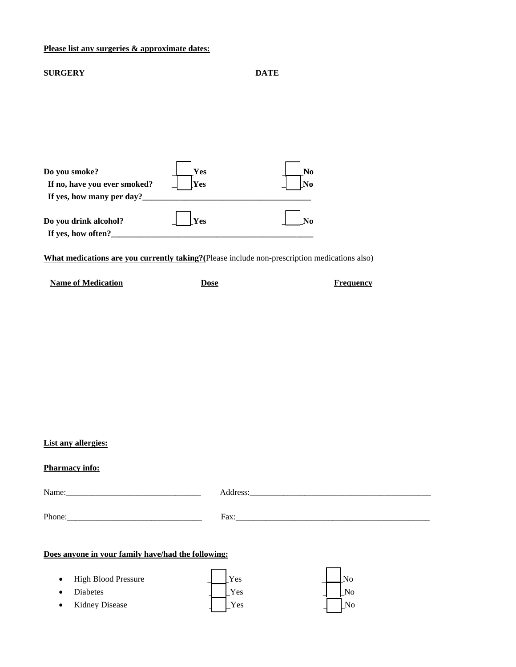#### **Please list any surgeries & approximate dates:**

| <b>SURGERY</b>                                                             |            | <b>DATE</b>          |
|----------------------------------------------------------------------------|------------|----------------------|
|                                                                            |            |                      |
|                                                                            |            |                      |
| Do you smoke?<br>If no, have you ever smoked?<br>If yes, how many per day? | Yes<br>Yes | N <sub>0</sub><br>No |
| Do you drink alcohol?<br>If yes, how often?                                | Yes        | No                   |

**What medications are you currently taking?(**Please include non-prescription medications also)

| <b>Name of Medication</b> | Dose | Frequency |
|---------------------------|------|-----------|
|---------------------------|------|-----------|

### **List any allergies:**

# **Pharmacy info:**

| Phone: $\frac{1}{\sqrt{1-\frac{1}{2}} \cdot \frac{1}{2}}$ | Fax: |  |  |  |
|-----------------------------------------------------------|------|--|--|--|
| Does anyone in your family have/had the following:        |      |  |  |  |

|           | • High Blood Pressure | Yes                        |    |
|-----------|-----------------------|----------------------------|----|
| $\bullet$ | Diabetes              | Yes                        | No |
| $\bullet$ | Kidney Disease        | $\mathrm{v}_{\mathrm{es}}$ | No |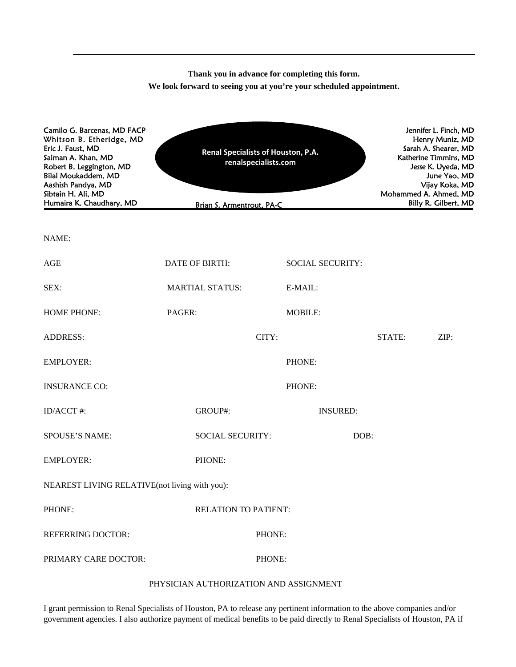**Thank you in advance for completing this form. We look forward to seeing you at you're your scheduled appointment.**

| Camilo G. Barcenas, MD FACP<br>Whitson B. Etheridge, MD<br>Eric J. Faust, MD<br>Salman A. Khan, MD<br>Robert B. Leggington, MD<br>Bilal Moukaddem, MD<br>Aashish Pandya, MD<br>Sibtain H. Ali, MD<br>Humaira K. Chaudhary, MD | Renal Specialists of Houston, P.A.<br>renalspecialists.com<br>Brian S. Armentrout, PA-C |                         | Jennifer L. Finch, MD<br>Henry Muniz, MD<br>Sarah A. Shearer, MD<br>Katherine Timmins, MD<br>Jesse K. Uyeda, MD<br>June Yao, MD<br>Vijay Koka, MD<br>Mohammed A. Ahmed, MD<br>Billy R. Gilbert, MD |        |      |
|-------------------------------------------------------------------------------------------------------------------------------------------------------------------------------------------------------------------------------|-----------------------------------------------------------------------------------------|-------------------------|----------------------------------------------------------------------------------------------------------------------------------------------------------------------------------------------------|--------|------|
| NAME:                                                                                                                                                                                                                         |                                                                                         |                         |                                                                                                                                                                                                    |        |      |
| AGE                                                                                                                                                                                                                           | DATE OF BIRTH:                                                                          | <b>SOCIAL SECURITY:</b> |                                                                                                                                                                                                    |        |      |
| SEX:                                                                                                                                                                                                                          | <b>MARTIAL STATUS:</b>                                                                  | E-MAIL:                 |                                                                                                                                                                                                    |        |      |
| <b>HOME PHONE:</b>                                                                                                                                                                                                            | PAGER:                                                                                  | <b>MOBILE:</b>          |                                                                                                                                                                                                    |        |      |
| <b>ADDRESS:</b>                                                                                                                                                                                                               | CITY:                                                                                   |                         |                                                                                                                                                                                                    | STATE: | ZIP: |
| <b>EMPLOYER:</b>                                                                                                                                                                                                              |                                                                                         | PHONE:                  |                                                                                                                                                                                                    |        |      |
| <b>INSURANCE CO:</b>                                                                                                                                                                                                          |                                                                                         | PHONE:                  |                                                                                                                                                                                                    |        |      |
| ID/ACCT #:                                                                                                                                                                                                                    | GROUP#:                                                                                 | <b>INSURED:</b>         |                                                                                                                                                                                                    |        |      |
| <b>SPOUSE'S NAME:</b>                                                                                                                                                                                                         | <b>SOCIAL SECURITY:</b>                                                                 |                         | DOB:                                                                                                                                                                                               |        |      |
| <b>EMPLOYER:</b>                                                                                                                                                                                                              | PHONE:                                                                                  |                         |                                                                                                                                                                                                    |        |      |
| NEAREST LIVING RELATIVE(not living with you):                                                                                                                                                                                 |                                                                                         |                         |                                                                                                                                                                                                    |        |      |
| PHONE:                                                                                                                                                                                                                        | <b>RELATION TO PATIENT:</b>                                                             |                         |                                                                                                                                                                                                    |        |      |
| <b>REFERRING DOCTOR:</b>                                                                                                                                                                                                      |                                                                                         | PHONE:                  |                                                                                                                                                                                                    |        |      |
| PRIMARY CARE DOCTOR:                                                                                                                                                                                                          |                                                                                         | PHONE:                  |                                                                                                                                                                                                    |        |      |
|                                                                                                                                                                                                                               |                                                                                         |                         |                                                                                                                                                                                                    |        |      |

#### PHYSICIAN AUTHORIZATION AND ASSIGNMENT

I grant permission to Renal Specialists of Houston, PA to release any pertinent information to the above companies and/or government agencies. I also authorize payment of medical benefits to be paid directly to Renal Specialists of Houston, PA if